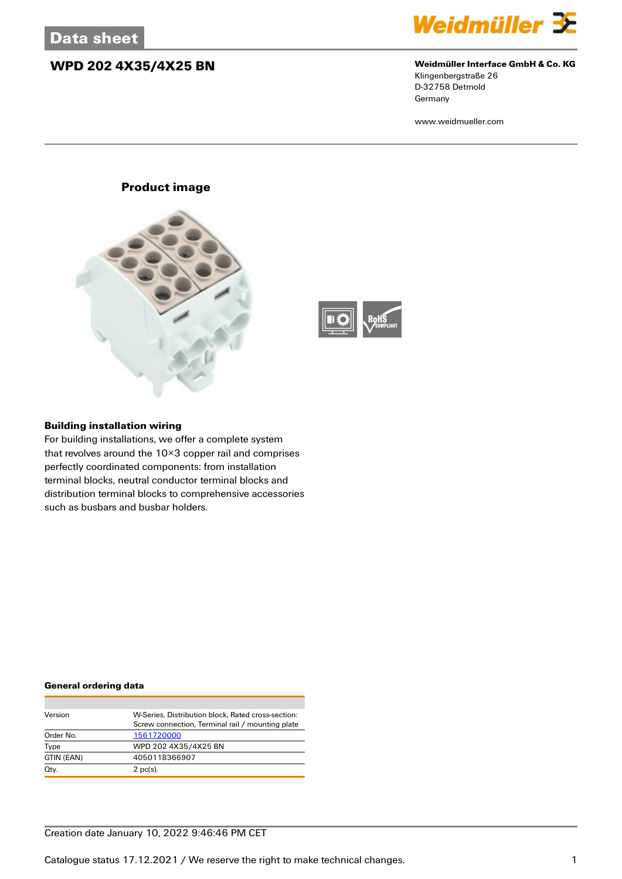## **WPD 202 4X35/4X25 BN Weidmüller Interface GmbH & Co. KG**



Klingenbergstraße 26 D-32758 Detmold Germany

www.weidmueller.com

## **Product image**





#### **Building installation wiring**

For building installations, we offer a complete system that revolves around the 10×3 copper rail and comprises perfectly coordinated components: from installation terminal blocks, neutral conductor terminal blocks and distribution terminal blocks to comprehensive accessories such as busbars and busbar holders.

#### **General ordering data**

| Version    | W-Series, Distribution block, Rated cross-section: |
|------------|----------------------------------------------------|
|            | Screw connection, Terminal rail / mounting plate   |
| Order No.  | 1561720000                                         |
| Type       | WPD 202 4X35/4X25 BN                               |
| GTIN (EAN) | 4050118366907                                      |
| Qty.       | $2$ pc(s).                                         |

### Creation date January 10, 2022 9:46:46 PM CET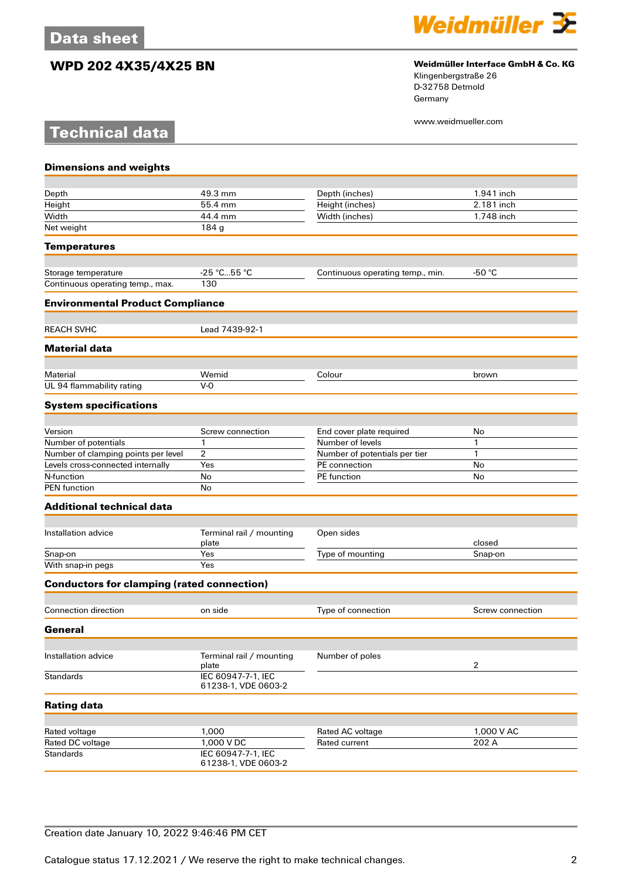**Technical data**

# **WPD 202 4X35/4X25 BN Weidmüller Interface GmbH & Co. KG**



Klingenbergstraße 26 D-32758 Detmold Germany

www.weidmueller.com

| <b>Dimensions and weights</b>                     |                                           |                                              |                  |
|---------------------------------------------------|-------------------------------------------|----------------------------------------------|------------------|
| Depth                                             | 49.3 mm                                   | Depth (inches)                               | 1.941 inch       |
| Height                                            | 55.4 mm                                   | Height (inches)                              | 2.181 inch       |
| Width                                             | 44.4 mm                                   | Width (inches)                               | 1.748 inch       |
| Net weight                                        | 184 g                                     |                                              |                  |
| <b>Temperatures</b>                               |                                           |                                              |                  |
| Storage temperature                               | -25 ℃…55 ℃                                | Continuous operating temp., min.             | -50 $\degree$ C  |
| Continuous operating temp., max.                  | 130                                       |                                              |                  |
| <b>Environmental Product Compliance</b>           |                                           |                                              |                  |
| <b>REACH SVHC</b>                                 | Lead 7439-92-1                            |                                              |                  |
| <b>Material data</b>                              |                                           |                                              |                  |
| Material                                          | Wemid                                     | Colour                                       | brown            |
| UL 94 flammability rating                         | $V-0$                                     |                                              |                  |
| <b>System specifications</b>                      |                                           |                                              |                  |
| Version                                           |                                           |                                              |                  |
| Number of potentials                              | Screw connection<br>$\mathbf{1}$          | End cover plate required<br>Number of levels | No<br>1          |
|                                                   | $\overline{2}$                            |                                              | 1                |
| Number of clamping points per level               |                                           | Number of potentials per tier                |                  |
| Levels cross-connected internally                 | Yes                                       | PE connection                                | No               |
| N-function<br><b>PEN</b> function                 | No<br>No                                  | PE function                                  | No               |
|                                                   |                                           |                                              |                  |
| <b>Additional technical data</b>                  |                                           |                                              |                  |
| Installation advice                               | Terminal rail / mounting<br>plate         | Open sides                                   | closed           |
| Snap-on                                           | Yes                                       | Type of mounting                             | Snap-on          |
| With snap-in pegs                                 | Yes                                       |                                              |                  |
| <b>Conductors for clamping (rated connection)</b> |                                           |                                              |                  |
| <b>Connection direction</b>                       | on side                                   | Type of connection                           | Screw connection |
| General                                           |                                           |                                              |                  |
| Installation advice                               | Terminal rail / mounting                  | Number of poles                              |                  |
|                                                   | plate                                     |                                              | 2                |
| <b>Standards</b>                                  | IEC 60947-7-1, IEC<br>61238-1, VDE 0603-2 |                                              |                  |
| <b>Rating data</b>                                |                                           |                                              |                  |
| Rated voltage                                     | 1,000                                     | Rated AC voltage                             | 1,000 V AC       |
| Rated DC voltage                                  | 1,000 V DC                                | <b>Rated current</b>                         | 202 A            |
| <b>Standards</b>                                  | IEC 60947-7-1, IEC<br>61238-1, VDE 0603-2 |                                              |                  |

## Creation date January 10, 2022 9:46:46 PM CET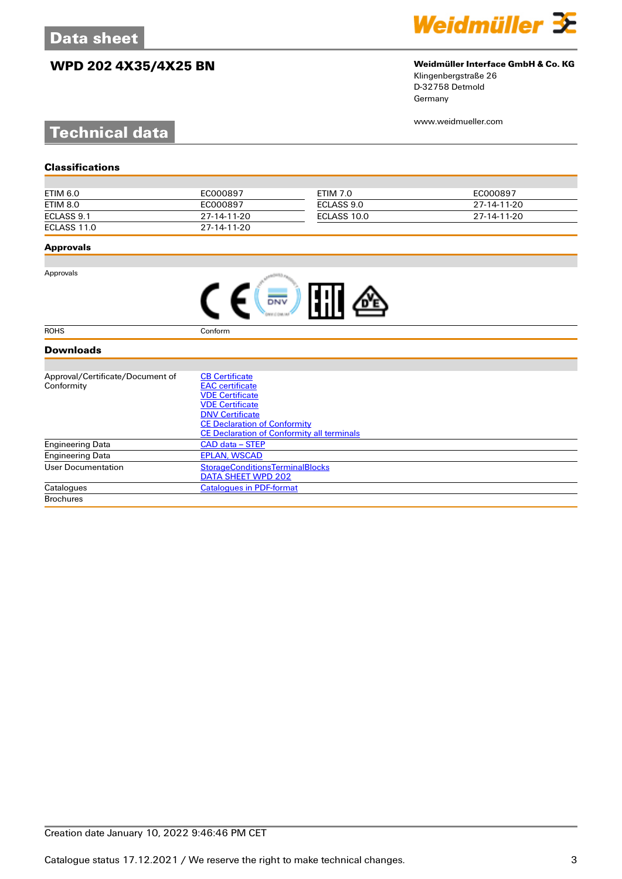# **WPD 202 4X35/4X25 BN Weidmüller Interface GmbH & Co. KG**



Klingenbergstraße 26 D-32758 Detmold Germany

www.weidmueller.com

# **Technical data**

| Classifications |
|-----------------|
|-----------------|

| ETIM 6.0    | EC000897    | ETIM 7.0    | EC000897    |
|-------------|-------------|-------------|-------------|
| ETIM 8.0    | EC000897    | ECLASS 9.0  | 27-14-11-20 |
| ECLASS 9.1  | 27-14-11-20 | ECLASS 10.0 | 27-14-11-20 |
| ECLASS 11.0 | 27-14-11-20 |             |             |

#### **Approvals**

Approvals

| <b>FFII</b> |  |
|-------------|--|
|-------------|--|

ROHS Conform

#### **Downloads**

| Approval/Certificate/Document of | <b>CB Certificate</b>                             |
|----------------------------------|---------------------------------------------------|
| Conformity                       | <b>EAC</b> certificate                            |
|                                  | <b>VDE Certificate</b>                            |
|                                  | <b>VDE Certificate</b>                            |
|                                  | <b>DNV Certificate</b>                            |
|                                  | <b>CE Declaration of Conformity</b>               |
|                                  | <b>CE Declaration of Conformity all terminals</b> |
| <b>Engineering Data</b>          | CAD data – STEP                                   |
| Engineering Data                 | <b>EPLAN, WSCAD</b>                               |
| User Documentation               | <b>StorageConditionsTerminalBlocks</b>            |
|                                  | DATA SHEET WPD 202                                |
| Catalogues                       | <b>Catalogues in PDF-format</b>                   |
| <b>Brochures</b>                 |                                                   |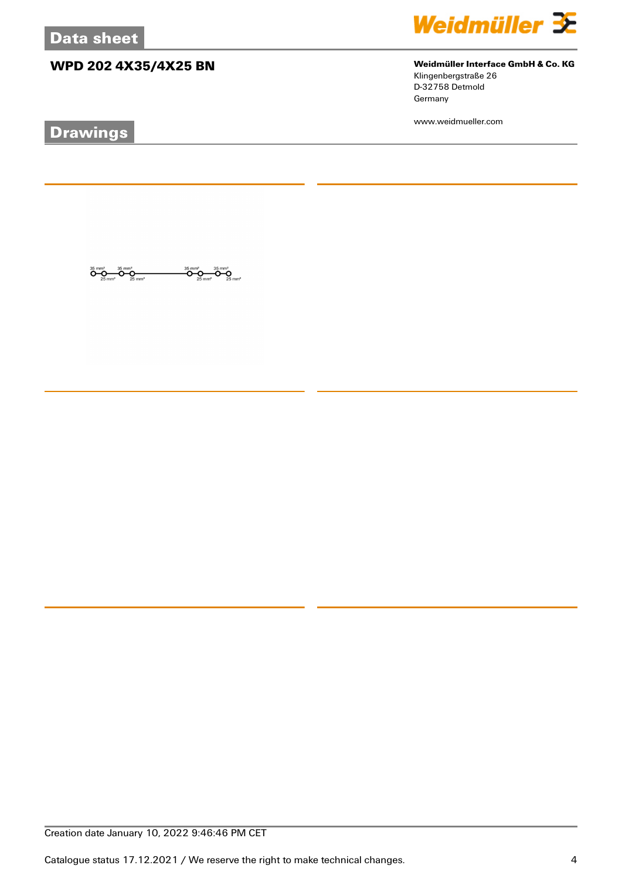# **WPD 202 4X35/4X25 BN Weidmüller Interface GmbH & Co. KG**

 $\overline{\mathbf{O}}_{25 \text{ mm}^2}$ 

ÖŖ

 $\overline{\mathbf{O}}\underset{25\text{ mm}^2}{\mathbf{O}}\overline{\mathbf{O}}\underset{25\text{ mm}^2}{\mathbf{O}}\overline{\mathbf{O}}\underset{25\text{ mm}^2}{\mathbf{O}}$ 

# **Drawings**



Klingenbergstraße 26 D-32758 Detmold Germany

www.weidmueller.com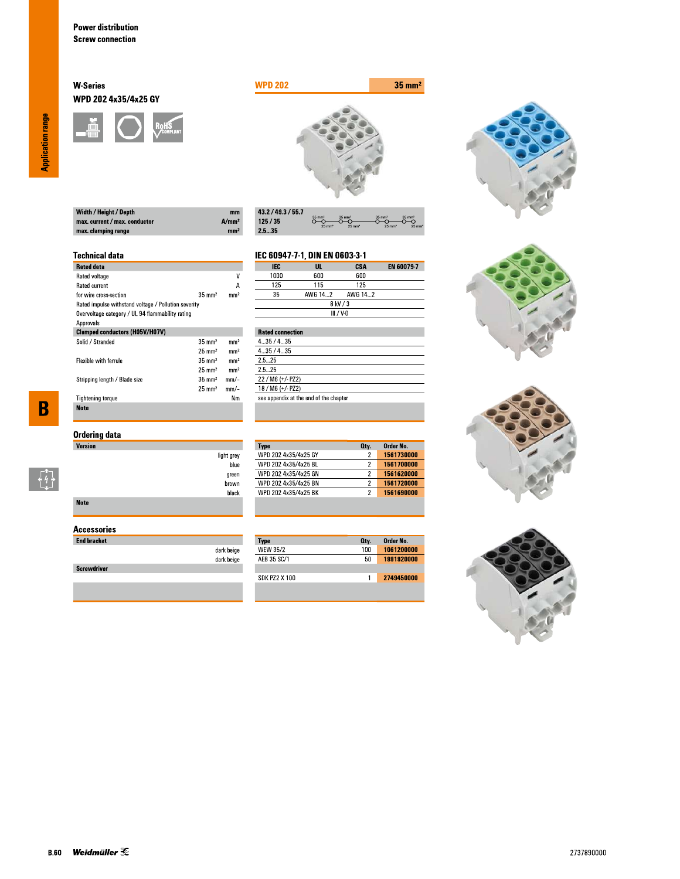#### **W-Series** WPD 202 4x35/4x25 GY





| $m$  |
|------|
| A/mm |
| mm   |
|      |

| 43.2 / 49.3 / 55.7 |                                        |                                           |                                           |                                        |
|--------------------|----------------------------------------|-------------------------------------------|-------------------------------------------|----------------------------------------|
| 125/35             | $35 \text{ mm}^2$<br>$25 \text{ mm}^2$ | $35 \text{ mm}^2$<br>$25$ mm <sup>2</sup> | $35 \text{ mm}^2$<br>$25$ mm <sup>2</sup> | $35 \text{ mm}^2$<br>$25 \, \text{mm}$ |
| 2.535              |                                        |                                           |                                           |                                        |

#### **Technical data**

| <b>Rated data</b>                                    |                   |                 |
|------------------------------------------------------|-------------------|-----------------|
| Rated voltage                                        |                   | ۷               |
| <b>Rated current</b>                                 |                   | А               |
| for wire cross-section                               | $35 \text{ mm}^2$ | mm <sup>2</sup> |
| Rated impulse withstand voltage / Pollution severity |                   |                 |
| Overvoltage category / UL 94 flammability rating     |                   |                 |
| Approvals                                            |                   |                 |
| <b>Clamped conductors (H05V/H07V)</b>                |                   |                 |
| Solid / Stranded                                     | $35 \text{ mm}^2$ | mm <sup>2</sup> |
|                                                      | $25 \text{ mm}^2$ | mm <sup>2</sup> |
| <b>Flexible with ferrule</b>                         | $35 \text{ mm}^2$ | mm <sup>2</sup> |
|                                                      | $25 \text{ mm}^2$ | mm <sup>2</sup> |
| Stripping length / Blade size                        | $35 \text{ mm}^2$ | $mm$ -          |
|                                                      | $25 \text{ mm}^2$ | mm/-            |
| <b>Tightening torque</b>                             |                   | Nm              |
| <b>Note</b>                                          |                   |                 |

## **Ordering data**

| <b>Version</b> |                    |
|----------------|--------------------|
|                | light grey<br>blue |
|                | green              |
|                | brown              |
|                | black              |
| <b>Note</b>    |                    |

### **Accessories**

| <b>End bracket</b> |                          |
|--------------------|--------------------------|
|                    | dark beige<br>dark beige |
| <b>Screwdriver</b> |                          |
|                    |                          |

#### EN 60079-7 **IEC**  $\overline{\mathsf{u}}$ . **CSA** 1000  $600\,$  $600$  $\overline{125}$  $\overline{115}$  $\overline{125}$

IEC 60947-7-1, DIN EN 0603-3-1

**Type**<br>WPD 202 4x35/4x25 GY

WPD 202 4x35/4x25 BL

WPD 202 4x35/4x25 GN

WPD 202 4x35/4x25 BN<br>WPD 202 4x35/4x25 BK

Type<br>WEW 35/2

AEB 35 SC/1

**SDK PZ2 X 100** 

| $- - -$ | .           | .       |  |
|---------|-------------|---------|--|
| 35      | AWG 142     | AWG 142 |  |
|         | 8 kV / 3    |         |  |
|         | $III / V-0$ |         |  |
|         |             |         |  |

| <b>Rated connection</b>                |
|----------------------------------------|
| 435/435                                |
| 435/435                                |
| 25 25                                  |
| 25 25                                  |
| 22 / M6 (+/- PZ2)                      |
| 18 / M6 (+/- PZ2)                      |
| see appendix at the end of the chapter |
|                                        |

Order No.

1561730000

1561700000

1561620000

1561690000

Order No.<br>1061200000

1991920000

2749450000

Oty.

 $\overline{2}$ 

 $\overline{2}$ 

 $\overline{2}$ 

 $\overline{2}$ 

Oty.  $100$ 

 $50\,$ 

 $\overline{1}$ 







**Application range** 

 $\overline{\mathbf{B}}$ 

 $\begin{bmatrix} 1 \\ 1 \\ 1 \end{bmatrix}$